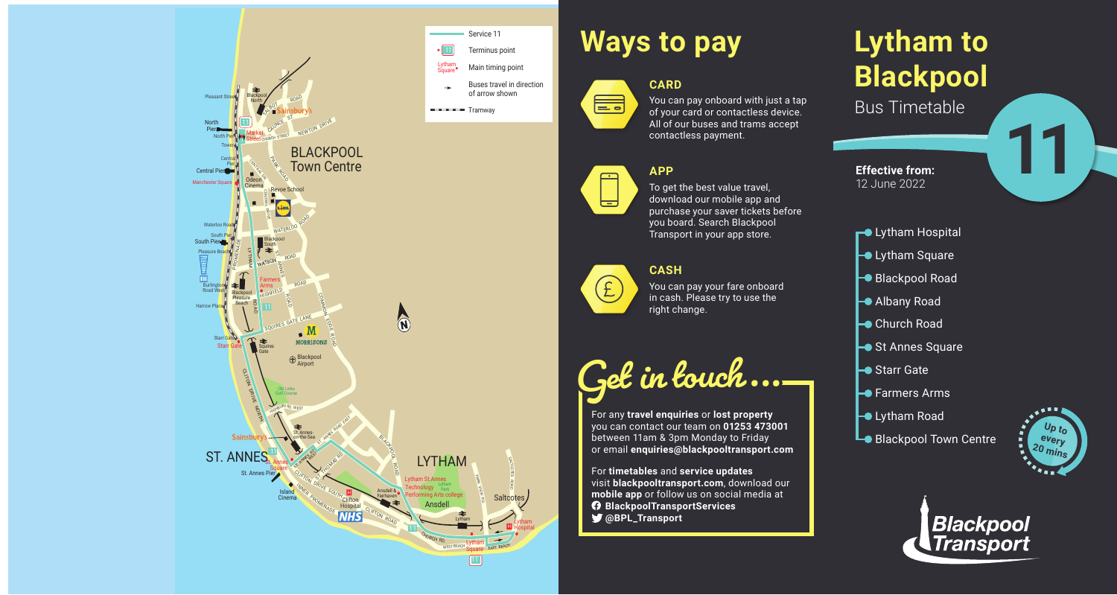# **Lytham to Blackpool** Bus Timetable

- **-** Lytham Hospital
- **Lytham Square**
- Blackpool Road
- Albany Road
- **►**Church Road
- St Annes Square
- **►**Starr Gate
- $\rightarrow$  **Farmers Arms**
- $\rightarrow$  Lytham Road
- **Lo** Blackpool Town Centre



You can pay onboard with just a tap of your card or contactless device. All of our buses and trams accept contactless payment.



言



**11**



# **Ways to pay**



#### **APP**

To get the best value travel, download our mobile app and purchase your saver tickets before you board. Search Blackpool Transport in your app store.

#### **CASH**



You can pay your fare onboard in cash. Please try to use the right change.

**Get in touch...**

For any **travel enquiries** or **lost property** you can contact our team on **01253 473001** between 11am & 3pm Monday to Friday or email **enquiries@blackpooltransport.com**

For **timetables** and **service updates** visit **blackpooltransport.com**, download our **mobile app** or follow us on social media at **BlackpoolTransportServices @BPL\_Transport**



**Effective from:** 12 June 2022